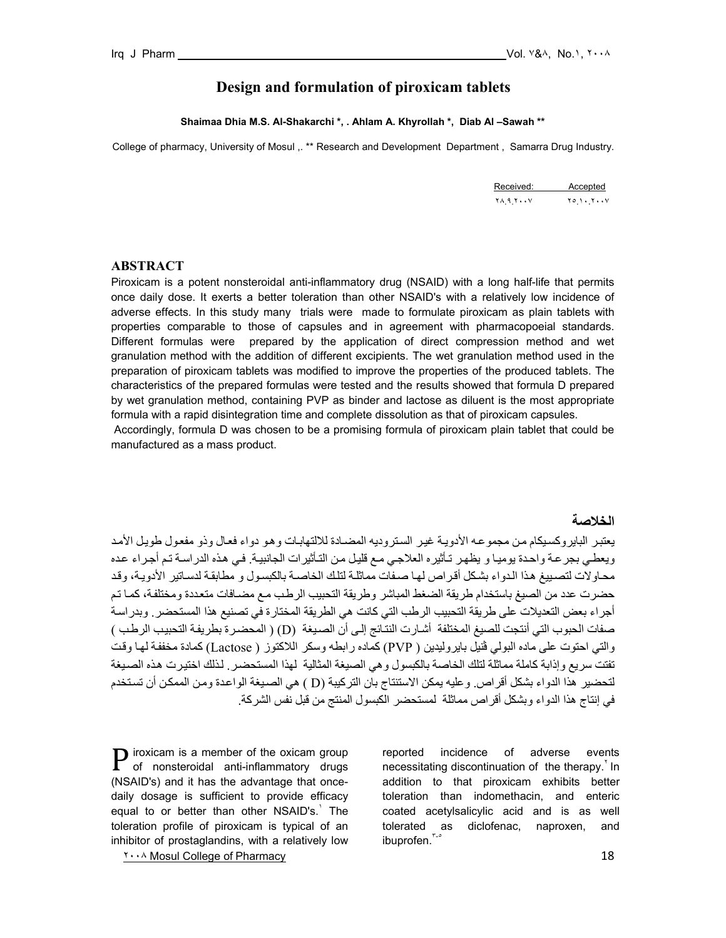# **Design and formulation of piroxicam tablets**

**Shaimaa Dhia M.S. Al-Shakarchi \*, . Ahlam A. Khyrollah \*, Diab Al –Sawah \*\*** 

College of pharmacy, University of Mosul ,. \*\* Research and Development Department , Samarra Drug Industry.

| Received: Accepted                           |  |
|----------------------------------------------|--|
| $Y \wedge 9 Y \cdots Y$ $Y \circ 1 \cdots Y$ |  |

#### **ABSTRACT**

Piroxicam is a potent nonsteroidal anti-inflammatory drug (NSAID) with a long half-life that permits once daily dose. It exerts a better toleration than other NSAID's with a relatively low incidence of adverse effects. In this study many trials were made to formulate piroxicam as plain tablets with properties comparable to those of capsules and in agreement with pharmacopoeial standards. Different formulas were prepared by the application of direct compression method and wet granulation method with the addition of different excipients. The wet granulation method used in the preparation of piroxicam tablets was modified to improve the properties of the produced tablets. The characteristics of the prepared formulas were tested and the results showed that formula D prepared by wet granulation method, containing PVP as binder and lactose as diluent is the most appropriate formula with a rapid disintegration time and complete dissolution as that of piroxicam capsules.

 Accordingly, formula D was chosen to be a promising formula of piroxicam plain tablet that could be manufactured as a mass product.

## **الخلاصة**

يعتبر البايروكسيكام من مجموعه الأدويـة غير الستروديه المضـادة للالتهابـات وهو دواء فعال وذو مفعول طويل الأمد ويعطي بجر عة واحدة يوميـا و يظهر تـأثيره العلاجي مـع قليل مـن التـأثيرات الجانبيـة. فـي هذه الدراسـة تـم أجـراء عده محاولات لتصبيغ هذا الدواء بشكل أقراص لها صفات مماثلة لتلك الخاصة بالكبسول و مطابقة لدساتير الأدوية، وقد حضرت عدد من الصيغ باستخدام طريقة الضغط المباشر وطريقة التحبيب الرطب مع مضـافات متعددة ومختلفة، كمـا تـم أجراء بعض التعديلات على طريقة التحبيب الرطب التي كانت هي الطريقة المختارة في تصنيع هذا المستحضر . وبدراسة صفات الحبوب التي أنتجت للصيغ المختلفة أشارت النتائج إلى أن الصيغة (D) ( المحضرة بطريفة التحبيب الرطب ) والتي احتوت على ماده البولي ڤنيل بايروليدين ( PVP) كماده رابطه وسكر اللاكتوز ( Lactose) كمادة مخففة لها وقت تفتت سريع وإذابة كاملة مماثلة لتلك الخاصة بالكبسول وهي الصيغة المثالية لهذا المستحضر. لذلك اختيرت هذه الصيغة لتحضير هذا الدواء بشكل أقراص. وعليه يمكن الاستنتاج بان التركيبة (D ) هي الصبيغة الواعدة ومن الممكن أن تستخدم في إنتاج هذا الدواء وبشكل أقراص مماثلة لمستحضر الكبسول المنتج من قبل نفس الشرآة.

18 The Mosul College of Pharmacy 18 Australian Street and The Street and The Street and The Street and The Street and The Street and The Street and The Street and The Street and The Street and The Street and The Street and iroxicam is a member of the oxicam group  $P$  iroxicam is a member of the oxicam group of nonsteroidal anti-inflammatory drugs (NSAID's) and it has the advantage that oncedaily dosage is sufficient to provide efficacy equal to or better than other NSAID's.<sup>'</sup> The toleration profile of piroxicam is typical of an inhibitor of prostaglandins, with a relatively low

reported incidence of adverse events necessitating discontinuation of the therapy. In addition to that piroxicam exhibits better toleration than indomethacin, and enteric coated acetylsalicylic acid and is as well tolerated as diclofenac, naproxen, and ibuprofen.<sup>٣-٥</sup>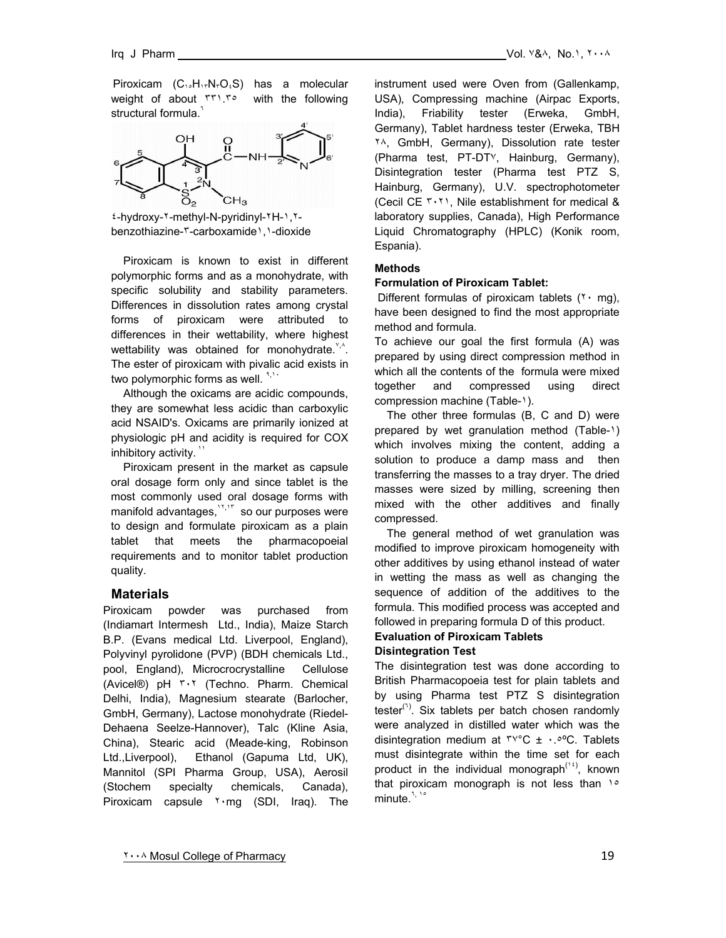Piroxicam  $(C_1, H_1, N, O_4S)$  has a molecular weight of about ٣٣١.٣٥ with the following structural formula.<sup>7</sup>



٤-hydroxy-٢-methyl-N-pyridinyl-٢H-١,٢ benzothiazine-٣-carboxamide١,١-dioxide

 Piroxicam is known to exist in different polymorphic forms and as a monohydrate, with specific solubility and stability parameters. Differences in dissolution rates among crystal forms of piroxicam were attributed to differences in their wettability, where highest wettability was obtained for monohydrate. $\frac{y}{x}$ . The ester of piroxicam with pivalic acid exists in two polymorphic forms as well.  $\frac{1}{2}$ .

 Although the oxicams are acidic compounds, they are somewhat less acidic than carboxylic acid NSAID's. Oxicams are primarily ionized at physiologic pH and acidity is required for COX inhibitory activity.  $\mathbf{v}$ 

 Piroxicam present in the market as capsule oral dosage form only and since tablet is the most commonly used oral dosage forms with manifold advantages,  $15,17$  so our purposes were to design and formulate piroxicam as a plain tablet that meets the pharmacopoeial requirements and to monitor tablet production quality.

## **Materials**

Piroxicam powder was purchased from (Indiamart Intermesh Ltd., India), Maize Starch B.P. (Evans medical Ltd. Liverpool, England), Polyvinyl pyrolidone (PVP) (BDH chemicals Ltd., pool, England), Microcrocrystalline Cellulose (Avicel®) pH ٣٠٢ (Techno. Pharm. Chemical Delhi, India), Magnesium stearate (Barlocher, GmbH, Germany), Lactose monohydrate (Riedel-Dehaena Seelze-Hannover), Talc (Kline Asia, China), Stearic acid (Meade-king, Robinson Ltd.,Liverpool), Ethanol (Gapuma Ltd, UK), Mannitol (SPI Pharma Group, USA), Aerosil (Stochem specialty chemicals, Canada), Piroxicam capsule ٢٠mg (SDI, Iraq). The

instrument used were Oven from (Gallenkamp, USA), Compressing machine (Airpac Exports, India), Friability tester (Erweka, GmbH, Germany), Tablet hardness tester (Erweka, TBH ٢٨, GmbH, Germany), Dissolution rate tester (Pharma test, PT-DT٧, Hainburg, Germany), Disintegration tester (Pharma test PTZ S, Hainburg, Germany), U.V. spectrophotometer (Cecil CE ٣٠٢١, Nile establishment for medical & laboratory supplies, Canada), High Performance Liquid Chromatography (HPLC) (Konik room, Espania).

#### **Methods**

#### **Formulation of Piroxicam Tablet:**

Different formulas of piroxicam tablets  $(7 \cdot mg)$ , have been designed to find the most appropriate method and formula.

To achieve our goal the first formula (A) was prepared by using direct compression method in which all the contents of the formula were mixed together and compressed using direct compression machine (Table-١).

 The other three formulas (B, C and D) were prepared by wet granulation method (Table-١) which involves mixing the content, adding a solution to produce a damp mass and then transferring the masses to a tray dryer. The dried masses were sized by milling, screening then mixed with the other additives and finally compressed.

 The general method of wet granulation was modified to improve piroxicam homogeneity with other additives by using ethanol instead of water in wetting the mass as well as changing the sequence of addition of the additives to the formula. This modified process was accepted and followed in preparing formula D of this product.

## **Evaluation of Piroxicam Tablets Disintegration Test**

The disintegration test was done according to British Pharmacopoeia test for plain tablets and by using Pharma test PTZ S disintegration tester<sup>(1)</sup>. Six tablets per batch chosen randomly were analyzed in distilled water which was the disintegration medium at  $\mu$ <sup>o</sup>C  $\pm$   $\cdot$  .<sup>oo</sup>C. Tablets must disintegrate within the time set for each product in the individual monograph<sup> $(16)$ </sup>, known that piroxicam monograph is not less than 10 minute.<sup>٦, ١٥</sup>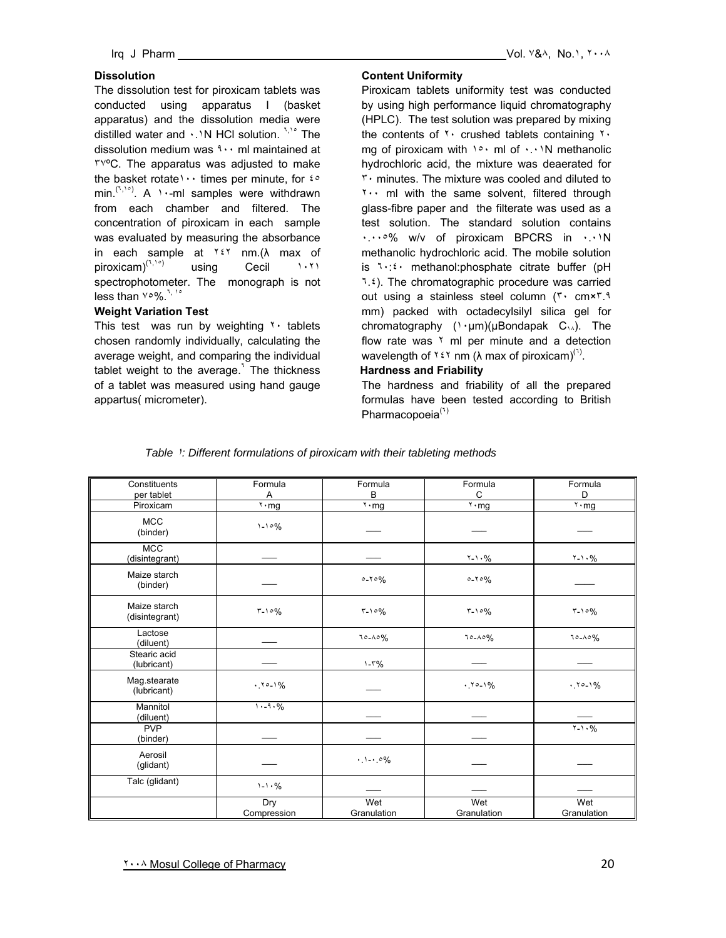## **Dissolution**

The dissolution test for piroxicam tablets was conducted using apparatus I (basket apparatus) and the dissolution media were distilled water and  $\cdot$ . N HCl solution.  $\lambda$ <sup>1,1</sup>° The dissolution medium was  $1 \cdot \cdot$  ml maintained at ٣٧ºC. The apparatus was adjusted to make the basket rotate ' · · times per minute, for  $f \circ f$ min.<sup>( $T, T^{\circ}$ )</sup>. A  $T \cdot -mI$  samples were withdrawn from each chamber and filtered. The concentration of piroxicam in each sample was evaluated by measuring the absorbance in each sample at  $Y \in Y$  nm.( $\lambda$  max of piroxicam)<sup>(٦,١٥)</sup> using Cecil ١٠٢١ spectrophotometer. The monograph is not less than  $\vee \circ \%$ .

## **Weight Variation Test**

This test was run by weighting  $\gamma$  tablets chosen randomly individually, calculating the average weight, and comparing the individual tablet weight to the average.**<sup>٦</sup>** The thickness of a tablet was measured using hand gauge appartus( micrometer).

## **Content Uniformity**

Piroxicam tablets uniformity test was conducted by using high performance liquid chromatography (HPLC). The test solution was prepared by mixing the contents of  $\gamma$  crushed tablets containing  $\gamma$ . mg of piroxicam with  $1° \cdot m$  of  $\cdot \cdot \cdot N$  methanolic hydrochloric acid, the mixture was deaerated for ٣٠ minutes. The mixture was cooled and diluted to ٢٠٠ ml with the same solvent, filtered through glass-fibre paper and the filterate was used as a test solution. The standard solution contains ٠.٠٠٥% w/v of piroxicam BPCRS in ٠.٠١N methanolic hydrochloric acid. The mobile solution is ٦٠:٤٠ methanol:phosphate citrate buffer (pH ٦.٤). The chromatographic procedure was carried out using a stainless steel column (٣٠ cm×٣.٩ mm) packed with octadecylsilyl silica gel for chromatography (١٠µm)(µBondapak C١٨). The flow rate was  $\frac{1}{2}$  ml per minute and a detection wavelength of  $Y \in Y$  nm ( $\lambda$  max of piroxicam)<sup>(1)</sup>.

## **Hardness and Friability**

The hardness and friability of all the prepared formulas have been tested according to British Pharmacopoeia(**٦**)

| Constituents                   | Formula                             | Formula<br>B        | Formula<br>C                        | Formula<br>D        |
|--------------------------------|-------------------------------------|---------------------|-------------------------------------|---------------------|
| per tablet<br>Piroxicam        | Α<br>$\mathbf{r} \cdot \mathbf{mg}$ | $\overline{r}$ · mg | $\overline{x} \cdot \underline{mg}$ | $\overline{x}$ . mg |
| <b>MCC</b><br>(binder)         | $1 - 10%$                           |                     |                                     |                     |
| <b>MCC</b><br>(disintegrant)   |                                     |                     | $1 - 1.96$                          | $Y - 1.96$          |
| Maize starch<br>(binder)       |                                     | $0 - 70%$           | $0 - 70%$                           |                     |
| Maize starch<br>(disintegrant) | $T - 10%$                           | $T - 10%$           | $T - 10%$                           | $5 - 10%$           |
| Lactose<br>(diluent)           |                                     | $70 - A0\%$         | $70 - A0\%$                         | $70 - A0\%$         |
| Stearic acid<br>(lubricant)    |                                     | $1 - 5\%$           |                                     |                     |
| Mag.stearate<br>(lubricant)    | $.70-1%$                            |                     | $.70-1%$                            | $.70-1%$            |
| Mannitol<br>(diluent)          | $1. - 9. %$                         |                     |                                     |                     |
| <b>PVP</b><br>(binder)         |                                     |                     |                                     | $7 - 1.96$          |
| Aerosil<br>(glidant)           |                                     | .1.0%               |                                     |                     |
| Talc (glidant)                 | $1 - 1.96$                          |                     |                                     |                     |
|                                | Dry<br>Compression                  | Wet<br>Granulation  | Wet<br>Granulation                  | Wet<br>Granulation  |

#### *Table* ١*: Different formulations of piroxicam with their tableting methods*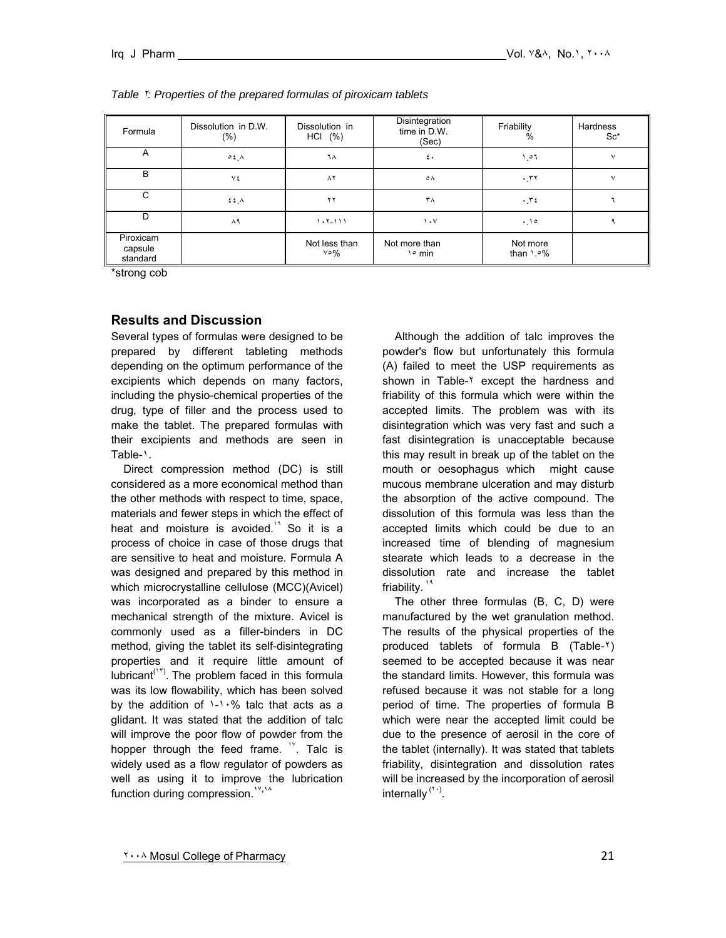| Formula                          | Dissolution in D.W.<br>$(\%)$ | Dissolution in<br>HCI (%)        | Disintegration<br>time in D.W.<br>(Sec) | Friability<br>%          | Hardness<br>$Sc^*$ |
|----------------------------------|-------------------------------|----------------------------------|-----------------------------------------|--------------------------|--------------------|
| A                                | $0.5$ $\Lambda$               | ٦٨                               | $\epsilon$ .                            | 101                      | $\vee$             |
| B                                | ٧٤                            | $\wedge$                         | ٥٨                                      | .57                      | v                  |
| C                                | ٤٤٨                           | ۲۲                               | ۳۸                                      | .72                      |                    |
| D                                | ۸۹                            | $1.7 - 111$                      | $\mathcal{N}$                           | .10                      |                    |
| Piroxicam<br>capsule<br>standard |                               | Not less than<br>$\vee \circ \%$ | Not more than<br>$\frac{1}{2}$ min      | Not more<br>than $1.9\%$ |                    |

#### *Table* <sup>٢</sup>*: Properties of the prepared formulas of piroxicam tablets*

\*strong cob

## **Results and Discussion**

Several types of formulas were designed to be prepared by different tableting methods depending on the optimum performance of the excipients which depends on many factors, including the physio-chemical properties of the drug, type of filler and the process used to make the tablet. The prepared formulas with their excipients and methods are seen in Table-١.

 Direct compression method (DC) is still considered as a more economical method than the other methods with respect to time, space, materials and fewer steps in which the effect of heat and moisture is avoided.<sup>11</sup> So it is a process of choice in case of those drugs that are sensitive to heat and moisture. Formula A was designed and prepared by this method in which microcrystalline cellulose (MCC)(Avicel) was incorporated as a binder to ensure a mechanical strength of the mixture. Avicel is commonly used as a filler-binders in DC method, giving the tablet its self-disintegrating properties and it require little amount of lubricant<sup>( $17$ </sup>). The problem faced in this formula was its low flowability, which has been solved by the addition of  $1 - 1.96$  talc that acts as a glidant. It was stated that the addition of talc will improve the poor flow of powder from the hopper through the feed frame. <sup>10</sup>. Talc is widely used as a flow regulator of powders as well as using it to improve the lubrication function during compression.**<sup>١٧</sup>,<sup>١٨</sup>**

 Although the addition of talc improves the powder's flow but unfortunately this formula (A) failed to meet the USP requirements as shown in Table-<sup>1</sup> except the hardness and friability of this formula which were within the accepted limits. The problem was with its disintegration which was very fast and such a fast disintegration is unacceptable because this may result in break up of the tablet on the mouth or oesophagus which might cause mucous membrane ulceration and may disturb the absorption of the active compound. The dissolution of this formula was less than the accepted limits which could be due to an increased time of blending of magnesium stearate which leads to a decrease in the dissolution rate and increase the tablet friability.<sup>1</sup>

 The other three formulas (B, C, D) were manufactured by the wet granulation method. The results of the physical properties of the produced tablets of formula B (Table-٢) seemed to be accepted because it was near the standard limits. However, this formula was refused because it was not stable for a long period of time. The properties of formula B which were near the accepted limit could be due to the presence of aerosil in the core of the tablet (internally). It was stated that tablets friability, disintegration and dissolution rates will be increased by the incorporation of aerosil internally (<sup>(1)</sup>.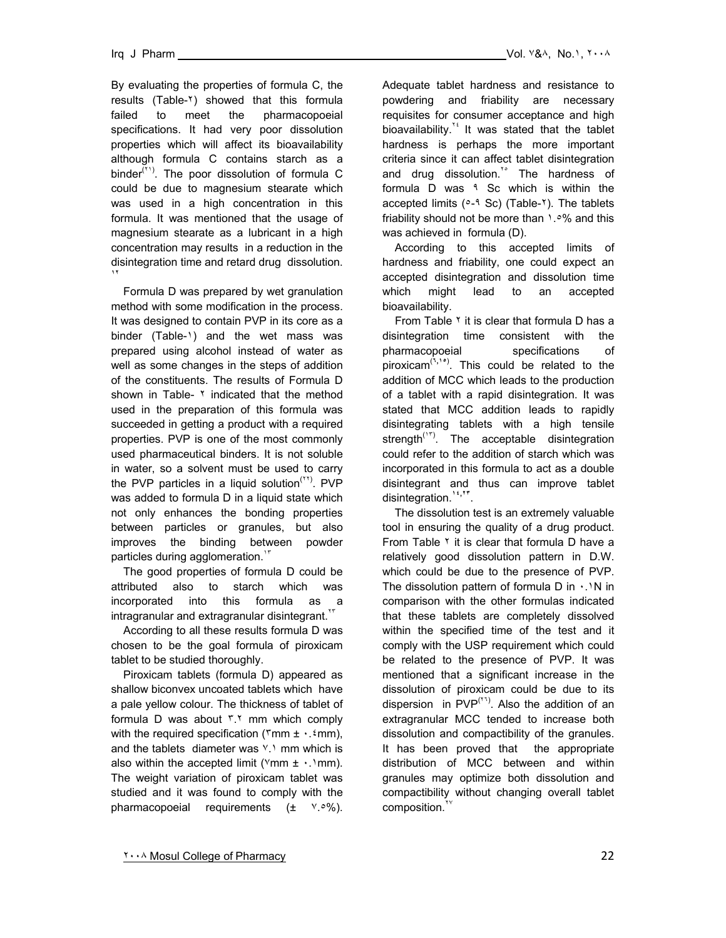By evaluating the properties of formula C, the results (Table-٢) showed that this formula failed to meet the pharmacopoeial specifications. It had very poor dissolution properties which will affect its bioavailability although formula C contains starch as a binder<sup>( $Y$ 1</sup>). The poor dissolution of formula C could be due to magnesium stearate which was used in a high concentration in this formula. It was mentioned that the usage of magnesium stearate as a lubricant in a high concentration may results in a reduction in the disintegration time and retard drug dissolution. **١٢**

 Formula D was prepared by wet granulation method with some modification in the process. It was designed to contain PVP in its core as a binder (Table-1) and the wet mass was prepared using alcohol instead of water as well as some changes in the steps of addition of the constituents. The results of Formula D shown in Table-  $\frac{1}{2}$  indicated that the method used in the preparation of this formula was succeeded in getting a product with a required properties. PVP is one of the most commonly used pharmaceutical binders. It is not soluble in water, so a solvent must be used to carry the PVP particles in a liquid solution<sup> $(11)$ </sup>. PVP was added to formula D in a liquid state which not only enhances the bonding properties between particles or granules, but also improves the binding between powder particles during agglomeration.<sup>17</sup>

 The good properties of formula D could be attributed also to starch which was incorporated into this formula as a  $int$ intragranular and extragranular disintegrant. $\Gamma$ 

 According to all these results formula D was chosen to be the goal formula of piroxicam tablet to be studied thoroughly.

 Piroxicam tablets (formula D) appeared as shallow biconvex uncoated tablets which have a pale yellow colour. The thickness of tablet of formula D was about ٣.٢ mm which comply with the required specification ( $\text{rmm} \pm \cdot \text{mmm}$ ), and the tablets diameter was ٧.١ mm which is also within the accepted limit ( $\forall$ mm  $\pm \cdot \cdot$  $\land$ mm). The weight variation of piroxicam tablet was studied and it was found to comply with the pharmacopoeial requirements  $(± \vee.°\%)$ . Adequate tablet hardness and resistance to powdering and friability are necessary requisites for consumer acceptance and high bioavailability.<sup> $1/2$ </sup> It was stated that the tablet hardness is perhaps the more important criteria since it can affect tablet disintegration and drug dissolution.<sup>1°</sup> The hardness of formula D was ٩ Sc which is within the accepted limits ( $0-9$  Sc) (Table-T). The tablets friability should not be more than ١.٥% and this was achieved in formula (D).

 According to this accepted limits of hardness and friability, one could expect an accepted disintegration and dissolution time which might lead to an accepted bioavailability.

From Table  $\lambda$  it is clear that formula D has a disintegration time consistent with the pharmacopoeial specifications of piroxicam(**٦,١٥**) . This could be related to the addition of MCC which leads to the production of a tablet with a rapid disintegration. It was stated that MCC addition leads to rapidly disintegrating tablets with a high tensile strength<sup>('۲'</sup>). The acceptable disintegration could refer to the addition of starch which was incorporated in this formula to act as a double disintegrant and thus can improve tablet disintegration.**<sup>١٤</sup>,<sup>٢٣</sup>**.

 The dissolution test is an extremely valuable tool in ensuring the quality of a drug product. From Table <sup>\*</sup> it is clear that formula D have a relatively good dissolution pattern in D.W. which could be due to the presence of PVP. The dissolution pattern of formula  $D$  in  $\cdot$ .  $\cdot$  N in comparison with the other formulas indicated that these tablets are completely dissolved within the specified time of the test and it comply with the USP requirement which could be related to the presence of PVP. It was mentioned that a significant increase in the dissolution of piroxicam could be due to its dispersion in  $PVP<sup>(17)</sup>$ . Also the addition of an extragranular MCC tended to increase both dissolution and compactibility of the granules. It has been proved that the appropriate distribution of MCC between and within granules may optimize both dissolution and compactibility without changing overall tablet composition.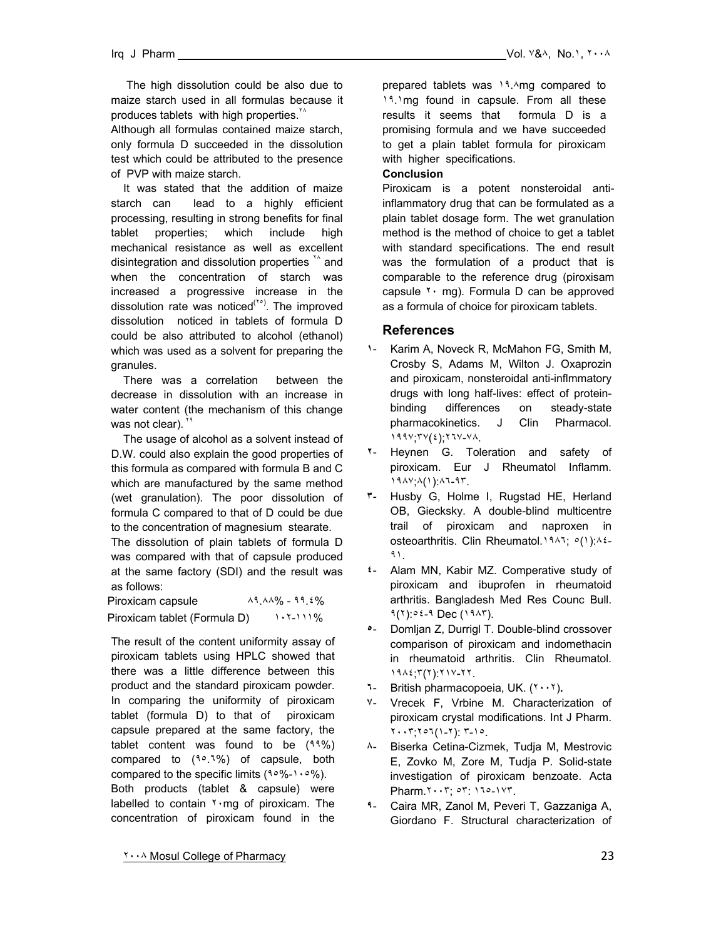The high dissolution could be also due to maize starch used in all formulas because it produces tablets with high properties.<sup>10</sup>

Although all formulas contained maize starch, only formula D succeeded in the dissolution test which could be attributed to the presence of PVP with maize starch.

 It was stated that the addition of maize starch can lead to a highly efficient processing, resulting in strong benefits for final tablet properties; which include high mechanical resistance as well as excellent disintegration and dissolution properties \*\* and when the concentration of starch was increased a progressive increase in the dissolution rate was noticed<sup>(Yo</sup>). The improved dissolution noticed in tablets of formula D could be also attributed to alcohol (ethanol) which was used as a solvent for preparing the granules.

 There was a correlation between the decrease in dissolution with an increase in water content (the mechanism of this change was not clear).

 The usage of alcohol as a solvent instead of D.W. could also explain the good properties of this formula as compared with formula B and C which are manufactured by the same method (wet granulation). The poor dissolution of formula C compared to that of D could be due to the concentration of magnesium stearate.

The dissolution of plain tablets of formula D was compared with that of capsule produced at the same factory (SDI) and the result was as follows:

Piroxicam capsule  $\frac{\lambda_{9.4} \lambda_{9}}{\lambda_{10.4} \lambda_{11}}$  - 19.1% Piroxicam tablet (Formula D) ١٠٢-١١١%

The result of the content uniformity assay of piroxicam tablets using HPLC showed that there was a little difference between this product and the standard piroxicam powder. In comparing the uniformity of piroxicam tablet (formula D) to that of piroxicam capsule prepared at the same factory, the tablet content was found to be (٩٩%) compared to  $(10.1\%)$  of capsule, both compared to the specific limits  $(1°% - 1°)$ . Both products (tablet & capsule) were labelled to contain  $\gamma$  mg of piroxicam. The concentration of piroxicam found in the

prepared tablets was 19.Amg compared to 19.1mg found in capsule. From all these results it seems that formula D is a promising formula and we have succeeded to get a plain tablet formula for piroxicam with higher specifications.

#### **Conclusion**

Piroxicam is a potent nonsteroidal antiinflammatory drug that can be formulated as a plain tablet dosage form. The wet granulation method is the method of choice to get a tablet with standard specifications. The end result was the formulation of a product that is comparable to the reference drug (piroxisam capsule  $\gamma \cdot$  mg). Formula D can be approved as a formula of choice for piroxicam tablets.

## **References**

- **١** Karim A, Noveck R, McMahon FG, Smith M, Crosby S, Adams M, Wilton J. Oxaprozin and piroxicam, nonsteroidal anti-inflmmatory drugs with long half-lives: effect of proteinbinding differences on steady-state pharmacokinetics. J Clin Pharmacol. ١٩٩٧;٣٧(٤);٢٦٧-٧٨.
- **٢** Heynen G. Toleration and safety of piroxicam. Eur J Rheumatol Inflamm. ١٩٨٧;٨(١):٨٦-٩٣.
- **٣** Husby G, Holme I, Rugstad HE, Herland OB, Giecksky. A double-blind multicentre trail of piroxicam and naproxen in osteoarthritis. Clin Rheumatol.١٩٨٦; ٥(١):٨٤- ٩١.
- **٤** Alam MN, Kabir MZ. Comperative study of piroxicam and ibuprofen in rheumatoid arthritis. Bangladesh Med Res Counc Bull. ٩(٢):٥٤-٩ Dec (١٩٨٣).
- **٥** Domljan Z, Durrigl T. Double-blind crossover comparison of piroxicam and indomethacin in rheumatoid arthritis. Clin Rheumatol. ١٩٨٤;٣(٢):٢١٧-٢٢.
- **٦** British pharmacopoeia, UK. (٢٠٠٢)**.**
- **٧** Vrecek F, Vrbine M. Characterization of piroxicam crystal modifications. Int J Pharm. ٢٠٠٣;٢٥٦(١-٢): ٣-١٥.
- **٨** Biserka Cetina-Cizmek, Tudja M, Mestrovic E, Zovko M, Zore M, Tudja P. Solid-state investigation of piroxicam benzoate. Acta Pharm.٢٠٠٣; ٥٣: ١٦٥-١٧٣.
- **٩** Caira MR, Zanol M, Peveri T, Gazzaniga A, Giordano F. Structural characterization of

٢٠٠٨ Mosul College of Pharmacy 23